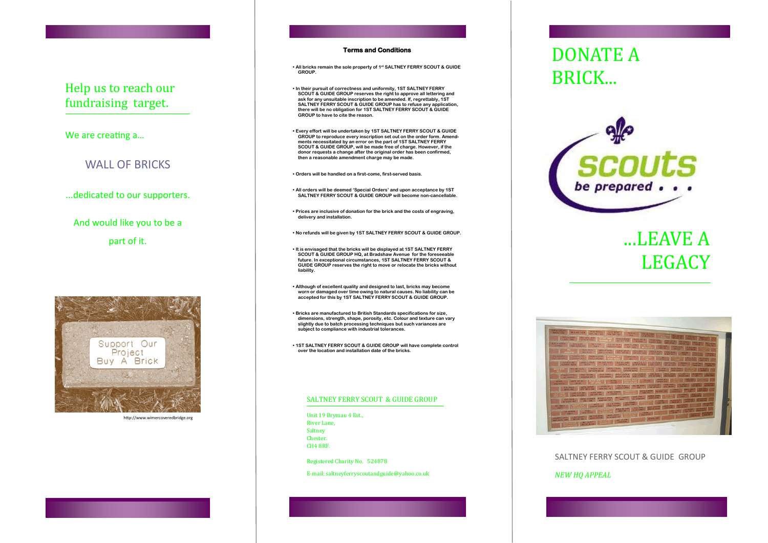## BRICK... Help us to reach our fundraising target.

We are creating a…

## WALL OF BRICKS

...dedicated to our supporters.

And would like you to be a part of it.



http://www.wimercoveredbridge.org

#### **Terms and Conditions**

**• All bricks remain the sole property of 1st SALTNEY FERRY SCOUT & GUIDE GROUP.**

**• In their pursuit of correctness and uniformity, 1ST SALTNEY FERRY SCOUT & GUIDE GROUP reserves the right to approve all lettering and ask for any unsuitable inscription to be amended. If, regrettably, 1ST SALTNEY FERRY SCOUT & GUIDE GROUP has to refuse any application, there will be no obligation for 1ST SALTNEY FERRY SCOUT & GUIDE GROUP to have to cite the reason.**

**• Every effort will be undertaken by 1ST SALTNEY FERRY SCOUT & GUIDE GROUP to reproduce every inscription set out on the order form. Amendments necessitated by an error on the part of 1ST SALTNEY FERRY SCOUT & GUIDE GROUP, will be made free of charge. However, if the donor requests a change after the original order has been confirmed, then a reasonable amendment charge may be made.**

**• Orders will be handled on a first-come, first-served basis.**

**• All orders will be deemed 'Special Orders' and upon acceptance by 1ST SALTNEY FERRY SCOUT & GUIDE GROUP will become non-cancellable.**

**• Prices are inclusive of donation for the brick and the costs of engraving, delivery and installation.**

**• No refunds will be given by 1ST SALTNEY FERRY SCOUT & GUIDE GROUP.**

**• It is envisaged that the bricks will be displayed at 1ST SALTNEY FERRY SCOUT & GUIDE GROUP HQ, at Bradshaw Avenue for the foreseeable future. In exceptional circumstances, 1ST SALTNEY FERRY SCOUT & GUIDE GROUP reserves the right to move or relocate the bricks without liability.**

**• Although of excellent quality and designed to last, bricks may become worn or damaged over time owing to natural causes. No liability can be accepted for this by 1ST SALTNEY FERRY SCOUT & GUIDE GROUP.**

**• Bricks are manufactured to British Standards specifications for size, dimensions, strength, shape, porosity, etc. Colour and texture can vary slightly due to batch processing techniques but such variances are subject to compliance with industrial tolerances.**

**• 1ST SALTNEY FERRY SCOUT & GUIDE GROUP will have complete control over the location and installation date of the bricks.**

#### SALTNEY FERRY SCOUT & GUIDE GROUP

Unit 19 Brymau 4 Est., River Lane, Saltney Chester. CH4 8RF.

Registered Charity No. 524878

E-mail: saltneyferryscoutandguide@yahoo.co.uk

# DONATE A



# ...LEAVE A LEGACY



#### SALTNEY FERRY SCOUT & GUIDE GROUP

#### *NEW HQ APPEAL*